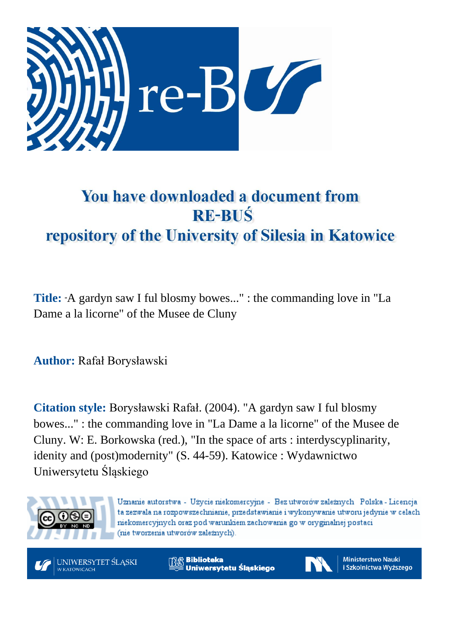

## You have downloaded a document from **RE-BUŚ** repository of the University of Silesia in Katowice

**Title:** "A gardyn saw I ful blosmy bowes..." : the commanding love in "La Dame a la licorne" of the Musee de Cluny

**Author:** Rafał Borysławski

**Citation style:** Borysławski Rafał. (2004). "A gardyn saw I ful blosmy bowes..." : the commanding love in "La Dame a la licorne" of the Musee de Cluny. W: E. Borkowska (red.), "In the space of arts : interdyscyplinarity, idenity and (post)modernity" (S. 44-59). Katowice : Wydawnictwo Uniwersytetu Śląskiego



Uznanie autorstwa - Użycie niekomercyjne - Bez utworów zależnych Polska - Licencja ta zezwala na rozpowszechnianie, przedstawianie i wykonywanie utworu jedynie w celach niekomercyjnych oraz pod warunkiem zachowania go w oryginalnej postaci (nie tworzenia utworów zależnych).

UNIWERSYTET ŚLĄSKI W KATOWICACH

**Biblioteka** Uniwersytetu Śląskiego



**Ministerstwo Nauki** i Szkolnictwa Wyższego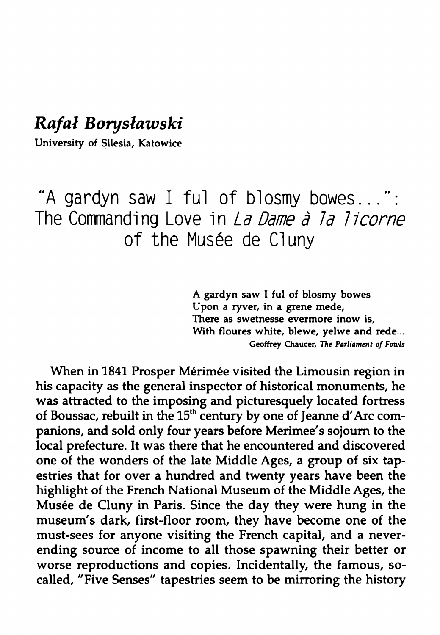## *Rafal Boryslawski*

University of Silesia, Katowice

"<sup>A</sup> gardyn saw <sup>I</sup> ful of blosmy bowes...": The Commanding.Love In *La Dame à la licorne* of the Musée de Cluny

> A gardyn saw I ful of blosmy bowes Upon a ryver, in a grene mede, There as swetnesse evermore inow is, With floures white, blewe, yelwe and rede... **Geoffrey Chaucer, 77ie** *Parliament of Fowls*

When in 1841 Prosper Mérimée visited the Limousin region in his capacity as the general inspector of historical monuments, he was attracted to the imposing and picturesquely located fortress of Boussac, rebuilt in the 15<sup>th</sup> century by one of Jeanne d'Arc companions, and sold only four years before Merimee's sojourn to the local prefecture. It was there that he encountered and discovered one of the wonders of the late Middle Ages, a group of six tapestries that for over a hundred and twenty years have been the highlight of the French National Museum of the Middle Ages, the Musée de Cluny in Paris. Since the day they were hung in the museum's dark, first-floor room, they have become one of the must-sees for anyone visiting the French capital, and a neverending source of income to all those spawning their better or worse reproductions and copies. Incidentally, the famous, socalled, "Five Senses" tapestries seem to be mirroring the history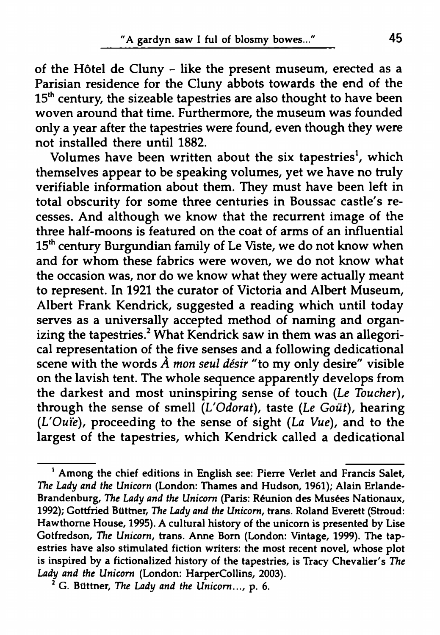of the Hôtel de Cluny - like the present museum, erected as a Parisian residence for the Cluny abbots towards the end of the  $15<sup>th</sup>$  century, the sizeable tapestries are also thought to have been woven around that time. Furthermore, the museum was founded only a year after the tapestries were found, even though they were not installed there until 1882.

Volumes have been written about the six tapestries<sup>1</sup>, which themselves appear to be speaking volumes, yet we have no truly verifiable information about them. They must have been left in total obscurity for some three centuries in Boussac castle's recesses. And although we know that the recurrent image of the three half-moons is featured on the coat of arms of an influential 15<sup>th</sup> century Burgundian family of Le Viste, we do not know when and for whom these fabrics were woven, we do not know what the occasion was, nor do we know what they were actually meant to represent. In 1921 the curator of Victoria and Albert Museum, Albert Frank Kendrick, suggested a reading which until today serves as a universally accepted method of naming and organizing the tapestries.<sup>2</sup> What Kendrick saw in them was an allegorical representation of the five senses and a following dedicational scene with the words *À mon seul désir* "to my only desire" visible on the lavish tent. The whole sequence apparently develops from the darkest and most uninspiring sense of touch (Le *Toucher),* through the sense of smell *(L'Odorat),* taste (Le *Goût),* hearing *(L'Ouïe),* proceeding to the sense of sight *(La Vue),* and to the largest of the tapestries, which Kendrick called a dedicational

<sup>&</sup>lt;sup>1</sup> Among the chief editions in English see: Pierre Verlet and Francis Salet, *The Lady and the Unicorn* (London: Thames and Hudson, 1961); Alain Erlande-Brandenburg, *The Lady and the Unicorn* (Paris: Réunion des Musées Nationaux, 1992); Gottfried Büttner, *The Lady and the Unicorn,* trans. Roland Everett (Stroud: Hawthorne House, 1995). A cultural history of the unicorn is presented by Lise Gotfredson, *The Unicorn,* trans. Anne Bom (London: Vintage, 1999). The tapestries have also stimulated fiction writers: the most recent novel, whose plot is inspired by a fictionalized history of the tapestries, is Tracy Chevalier's *The Lady and the Unicorn* (London: HarperCollins, 2003).

<span id="page-2-0"></span><sup>2</sup> G. Büttner, *The Lady and the Unicorn...,* p. 6.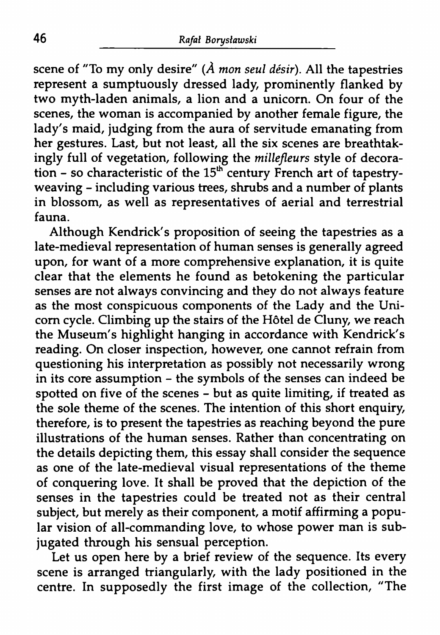scene of "To my only desire" *(À mon seul désir).* All the tapestries represent a sumptuously dressed lady, prominently flanked by two myth-laden animals, a lion and a unicorn. On four of the scenes, the woman is accompanied by another female figure, the lady's maid, judging from the aura of servitude emanating from her gestures. Last, but not least, all the six scenes are breathtakingly full of vegetation, following the *millefleurs* style of decoration - so characteristic of the  $15<sup>th</sup>$  century French art of tapestryweaving - including various trees, shrubs and a number of plants in blossom, as well as representatives of aerial and terrestrial fauna.

Although Kendrick's proposition of seeing the tapestries as a late-medieval representation of human senses is generally agreed upon, for want of a more comprehensive explanation, it is quite clear that the elements he found as betokening the particular senses are not always convincing and they do not always feature as the most conspicuous components of the Lady and the Unicorn cycle. Climbing up the stairs of the Hôtel de Cluny, we reach the Museum's highlight hanging in accordance with Kendrick's reading. On closer inspection, however, one cannot refrain from questioning his interpretation as possibly not necessarily wrong in its core assumption - the symbols of the senses can indeed be spotted on five of the scenes - but as quite limiting, if treated as the sole theme of the scenes. The intention of this short enquiry, therefore, is to present the tapestries as reaching beyond the pure illustrations of the human senses. Rather than concentrating on the details depicting them, this essay shall consider the sequence as one of the late-medieval visual representations of the theme of conquering love. It shall be proved that the depiction of the senses in the tapestries could be treated not as their central subject, but merely as their component, a motif affirming a popular vision of all-commanding love, to whose power man is subjugated through his sensual perception.

Let us open here by a brief review of the sequence. Its every scene is arranged triangularly, with the lady positioned in the centre. In supposedly the first image of the collection, "The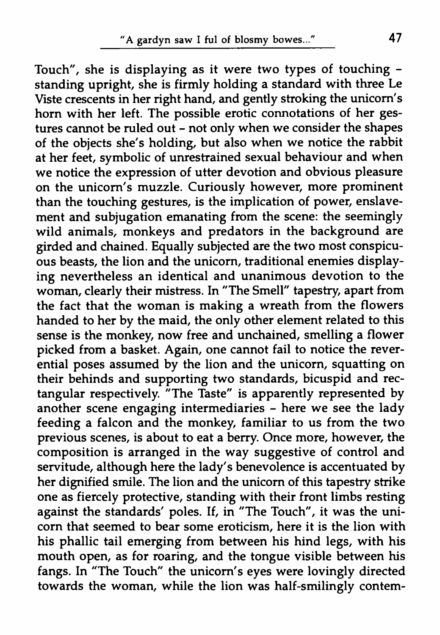Touch", she is displaying as it were two types of touching standing upright, she is firmly holding a standard with three Le Viste crescents in her right hand, and gently stroking the unicorn's horn with her left. The possible erotic connotations of her gestures cannot be ruled out  $-$  not only when we consider the shapes of the objects she's holding, but also when we notice the rabbit at her feet, symbolic of unrestrained sexual behaviour and when we notice the expression of utter devotion and obvious pleasure on the unicorn's muzzle. Curiously however, more prominent than the touching gestures, is the implication of power, enslavement and subjugation emanating from the scene: the seemingly wild animals, monkeys and predators in the background are girded and chained. Equally subjected are the two most conspicuous beasts, the lion and the unicorn, traditional enemies displaying nevertheless an identical and unanimous devotion to the woman, clearly their mistress. In "The Smell" tapestry, apart from the fact that the woman is making a wreath from the flowers handed to her by the maid, the only other element related to this sense is the monkey, now free and unchained, smelling a flower picked from a basket. Again, one cannot fail to notice the reverential poses assumed by the lion and the unicorn, squatting on their behinds and supporting two standards, bicuspid and rectangular respectively. "The Taste" is apparently represented by another scene engaging intermediaries - here we see the ladv feeding a falcon and the monkey, familiar to us from the two previous scenes, is about to eat a berry. Once more, however, the composition is arranged in the way suggestive of control and servitude, although here the lady's benevolence is accentuated by her dignified smile. The lion and the unicorn of this tapestry strike one as fiercely protective, standing with their front limbs resting against the standards' poles. If, in "The Touch", it was the unicorn that seemed to bear some eroticism, here it is the lion with his phallic tail emerging from between his hind legs, with his mouth open, as for roaring, and the tongue visible between his fangs. In "The Touch" the unicorn's eyes were lovingly directed towards the woman, while the lion was half-smilingly contem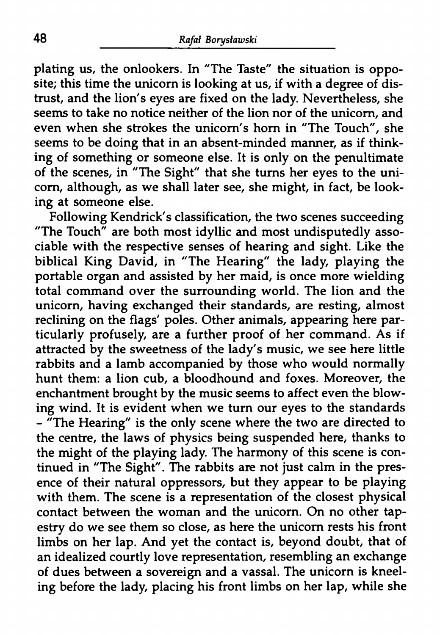plating us, the onlookers. In "The Taste" the situation is opposite; this time the unicorn is looking at us, if with a degree of distrust, and the lion's eyes are fixed on the lady. Nevertheless, she seems to take no notice neither of the lion nor of the unicorn, and even when she strokes the unicorn's horn in "The Touch", she seems to be doing that in an absent-minded manner, as if thinking of something or someone else. It is only on the penultimate of the scenes, in "The Sight" that she turns her eyes to the unicorn, although, as we shall later see, she might, in fact, be looking at someone else.

Following Kendrick's classification, the two scenes succeeding "The Touch" are both most idyllic and most undisputedly associable with the respective senses of hearing and sight. Like the biblical King David, in "The Hearing" the lady, playing the portable organ and assisted by her maid, is once more wielding total command over the surrounding world. The lion and the unicorn, having exchanged their standards, are resting, almost reclining on the flags' poles. Other animals, appearing here particularly profusely, are a further proof of her command. As if attracted by the sweetness of the lady's music, we see here little rabbits and a lamb accompanied by those who would normally hunt them: a lion cub, a bloodhound and foxes. Moreover, the enchantment brought by the music seems to affect even the blowing wind. It is evident when we turn our eyes to the standards - "The Hearing" is the only scene where the two are directed to the centre, the laws of physics being suspended here, thanks to the might of the playing lady. The harmony of this scene is continued in "The Sight". The rabbits are not just calm in the presence of their natural oppressors, but they appear to be playing with them. The scene is a representation of the closest physical contact between the woman and the unicorn. On no other tapestry do we see them so close, as here the unicorn rests his front limbs on her lap. And yet the contact is, beyond doubt, that of an idealized courtly love representation, resembling an exchange of dues between a sovereign and a vassal. The unicorn is kneeling before the lady, placing his front limbs on her lap, while she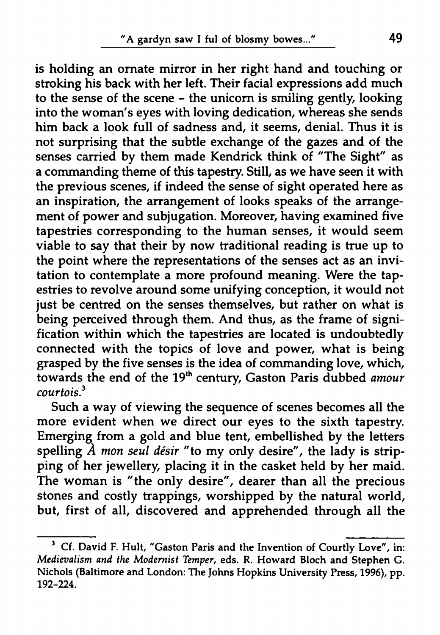is holding an ornate mirror in her right hand and touching or stroking his back with her left. Their facial expressions add much to the sense of the scene - the unicorn is smiling gently, looking into the woman's eyes with loving dedication, whereas she sends him back a look full of sadness and, it seems, denial. Thus it is not surprising that the subtle exchange of the gazes and of the senses carried by them made Kendrick think of "The Sight" as a commanding theme of this tapestry. Still, as we have seen it with the previous scenes, if indeed the sense of sight operated here as an inspiration, the arrangement of looks speaks of the arrangement of power and subjugation. Moreover, having examined five tapestries corresponding to the human senses, it would seem viable to say that their by now traditional reading is true up to the point where the representations of the senses act as an invitation to contemplate a more profound meaning. Were the tapestries to revolve around some unifying conception, it would not just be centred on the senses themselves, but rather on what is being perceived through them. And thus, as the frame of signification within which the tapestries are located is undoubtedly connected with the topics of love and power, what is being grasped by the five senses is the idea of commanding love, which, towards the end of the 19th century, Gaston Paris dubbed *amour courtois.[3](#page-6-0)*

Such a way of viewing the sequence of scenes becomes all the more evident when we direct our eyes to the sixth tapestry. Emerging from a gold and blue tent, embellished by the letters spelling A *mon seul désir* "to my only desire", the lady is stripping of her jewellery, placing it in the casket held by her maid. The woman is "the only desire", dearer than all the precious stones and costly trappings, worshipped by the natural world, but, first of all, discovered and apprehended through all the

<span id="page-6-0"></span><sup>&</sup>lt;sup>3</sup> Cf. David F. Hult, "Gaston Paris and the Invention of Courtly Love", in: *Medievalism and the Modernist Temper,* eds. R. Howard Bloch and Stephen G. Nichols (Baltimore and London: The Johns Hopkins University Press, 1996), pp. 192-224.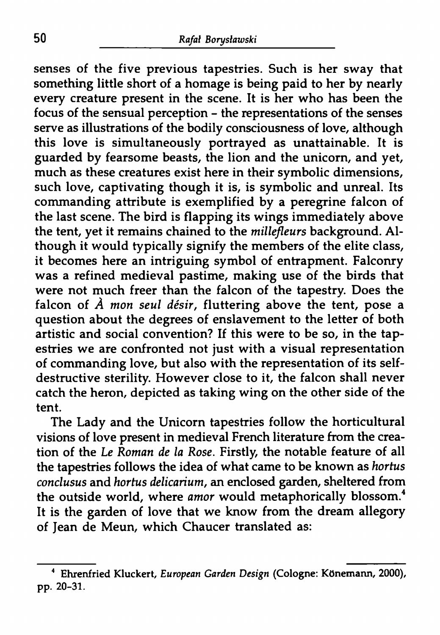senses of the five previous tapestries. Such is her sway that something little short of a homage is being paid to her by nearly every creature present in the scene. It is her who has been the focus of the sensual perception - the representations of the senses serve as illustrations of the bodily consciousness of love, although this love is simultaneously portrayed as unattainable. It is guarded by fearsome beasts, the lion and the unicorn, and yet, much as these creatures exist here in their symbolic dimensions, such love, captivating though it is, is symbolic and unreal. Its commanding attribute is exemplified by a peregrine falcon of the last scene. The bird is flapping its wings immediately above the tent, yet it remains chained to the *millefleurs* background. Although it would typically signify the members of the elite class, it becomes here an intriguing symbol of entrapment. Falconry was a refined medieval pastime, making use of the birds that were not much freer than the falcon of the tapestry. Does the falcon of *À mon seul désir,* fluttering above the tent, pose a question about the degrees of enslavement to the letter of both artistic and social convention? If this were to be so, in the tapestries we are confronted not just with a visual representation of commanding love, but also with the representation of its selfdestructive sterility. However close to it, the falcon shall never catch the heron, depicted as taking wing on the other side of the tent.

The Lady and the Unicorn tapestries follow the horticultural visions of love present in medieval French literature from the creation of the *Le Roman de la Rose.* Firstly, the notable feature of all the tapestries follows the idea of what came to be known as *hortus conclusus* and *hortus delicarium,* an enclosed garden, sheltered from the outside world, where *amor* would metaphorically blossom.<sup>4</sup> It is the garden of love that we know from the dream allegory of Jean de Meun, which Chaucer translated as:

<sup>4</sup> Ehrenfried Kluckert, *European Garden Design* (Cologne: KOnemann, 2000), pp. 20-31.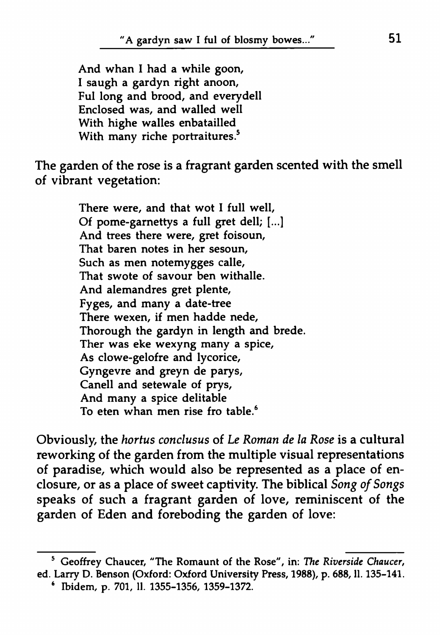And whan I had a while goon, I saugh a gardyn right anoon, Ful long and brood, and everydell Enclosed was, and walled well With highe walles enbatailled With many riche portraitures.<sup>5</sup>

The garden of the rose is a fragrant garden scented with the smell of vibrant vegetation:

> There were, and that wot I full well, Of pome-garnettys a full gret dell; [...] And trees there were, gret foisoun, That baren notes in her sesoun, Such as men notemygges calle, That swote of savour ben withalle. And alemandres gret plente, Fyges, and many a date-tree There wexen, if men hadde nede, Thorough the gardyn in length and brede. Ther was eke wexyng many a spice, As clowe-gelofre and lycorice, Gyngevre and greyn de parys, Canell and setewale of prys, And many a spice delitable To eten whan men rise fro table.<sup>6</sup>

Obviously, the *hortus conclusus* of *Le Roman de la Rose* is a cultural reworking of the garden from the multiple visual representations of paradise, which would also be represented as a place of enclosure, or as a place of sweet captivity. The biblical *Song ofSongs* speaks of such a fragrant garden of love, reminiscent of the garden of Eden and foreboding the garden of love:

<sup>5</sup> Geoffrey Chaucer, "The Romaunt of the Rose", in: *The Riverside Chaucer,* ed. Larry D. Benson (Oxford: Oxford University Press, 1988), p. 688, ll. 135-141.

<sup>&#</sup>x27; Ibidem, p. 701, 11. 1355-1356, 1359-1372.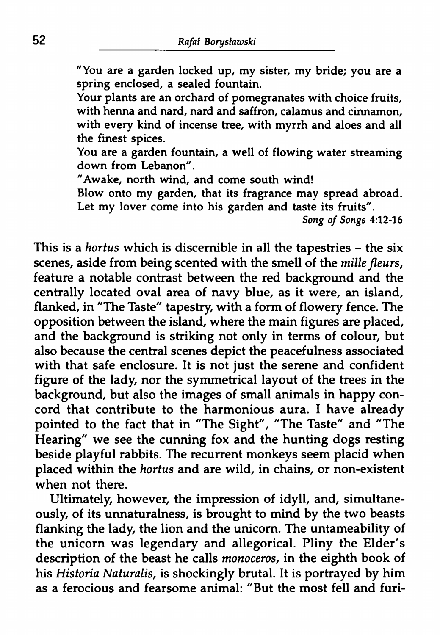"You are a garden locked up, my sister, my bride; you are a spring enclosed, a sealed fountain.

Your plants are an orchard of pomegranates with choice fruits, with henna and nard, nard and saffron, calamus and cinnamon, with every kind of incense tree, with myrrh and aloes and all the finest spices.

You are a garden fountain, a well of flowing water streaming down from Lebanon".

"Awake, north wind, and come south wind!

Blow onto my garden, that its fragrance may spread abroad. Let my lover come into his garden and taste its fruits".

*Song of Songs* 4:12-16

This is a *hortus* which is discernible in all the tapestries - the six scenes, aside from being scented with the smell of the *millefleurs,* feature a notable contrast between the red background and the centrally located oval area of navy blue, as it were, an island, flanked, in "The Taste" tapestry, with a form of flowery fence. The opposition between the island, where the main figures are placed, and the background is striking not only in terms of colour, but also because the central scenes depict the peacefulness associated with that safe enclosure. It is not just the serene and confident figure of the lady, nor the symmetrical layout of the trees in the background, but also the images of small animals in happy concord that contribute to the harmonious aura. I have already pointed to the fact that in "The Sight", "The Taste" and "The Hearing" we see the cunning fox and the hunting dogs resting beside playful rabbits. The recurrent monkeys seem placid when placed within the *hortus* and are wild, in chains, or non-existent when not there.

Ultimately, however, the impression of idyll, and, simultaneously, of its unnaturalness, is brought to mind by the two beasts flanking the lady, the lion and the unicorn. The untameability of the unicorn was legendary and allegorical. Pliny the Elder's description of the beast he calls *monoceros,* in the eighth book of his *Historia Naturalis,* is shockingly brutal. It is portrayed by him as a ferocious and fearsome animal: "But the most fell and furi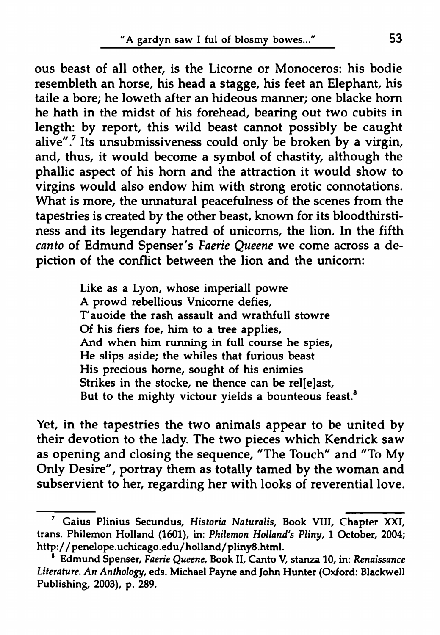ous beast of all other, is the Licorne or Monoceros: his bodie resembleth an horse, his head a stagge, his feet an Elephant, his taile a bore; he loweth after an hideous manner; one blacke hom he hath in the midst of his forehead, bearing out two cubits in length: by report, this wild beast cannot possibly be caught alive".<sup>[7](#page-10-0)</sup> Its unsubmissiveness could only be broken by a virgin, and, thus, it would become a symbol of chastity, although the phallic aspect of his hom and the attraction it would show to virgins would also endow him with strong erotic connotations. What is more, the unnatural peacefulness of the scenes from the tapestries is created by the other beast, known for its bloodthirstiness and its legendary hatred of unicoms, the lion. In the fifth *canto* of Edmund Spenser's *Faerie Queene* we come across a depiction of the conflict between the lion and the unicorn:

> Like as a Lyon, whose imperiall powre A prowd rebellious Vnicorne defies, T'auoide the rash assault and wrathfull stowre Of his fiers foe, him to a tree applies, And when him running in full course he spies, He slips aside; the whiles that furious beast His precious home, sought of his enimies Strikes in the stocke, ne thence can be rel[e]ast, But to the mighty victour yields a bounteous feast.<sup>8</sup>

Yet, in the tapestries the two animals appear to be united by their devotion to the lady. The two pieces which Kendrick saw as opening and closing the sequence, "The Touch" and "To My Only Desire", portray them as totally tamed by the woman and subservient to her, regarding her with looks of reverential love.

<span id="page-10-0"></span><sup>7</sup> Gaius Plinius Secundus, *Historia Naturalis,* Book VIII, Chapter XXI, trans. Philemon Holland (1601), in: *Philemon Holland's Pliny,* 1 October, 2004; <http://penelope.uchicago.edu/holland/pliny8.html>.

<sup>9</sup> Edmund Spenser, *Faerie Queene,* Book II, Canto V, stanza 10, in: *Renaissance Literature. An Anthology,* eds. Michael Payne and John Hunter (Oxford: Blackwell Publishing, 2003), p. 289.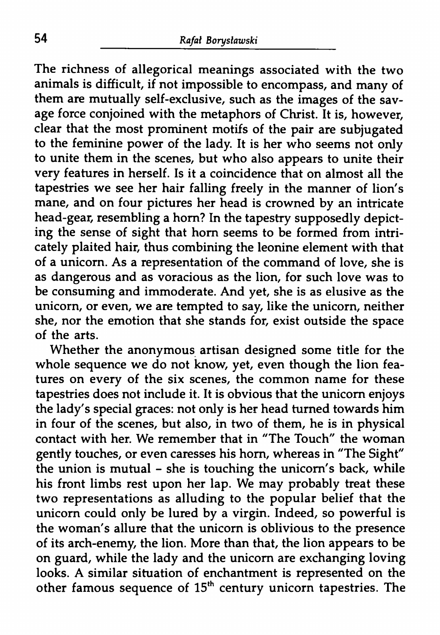The richness of allegorical meanings associated with the two animals is difficult, if not impossible to encompass, and many of them are mutually self-exclusive, such as the images of the savage force conjoined with the metaphors of Christ. It is, however, clear that the most prominent motifs of the pair are subjugated to the feminine power of the lady. It is her who seems not only to unite them in the scenes, but who also appears to unite their very features in herself. Is it a coincidence that on almost all the tapestries we see her hair falling freely in the manner of lion's mane, and on four pictures her head is crowned by an intricate head-gear, resembling a horn? In the tapestry supposedly depicting the sense of sight that horn seems to be formed from intricately plaited hair, thus combining the leonine element with that of a unicorn. As a representation of the command of love, she is as dangerous and as voracious as the lion, for such love was to be consuming and immoderate. And yet, she is as elusive as the unicorn, or even, we are tempted to say, like the unicorn, neither she, nor the emotion that she stands for, exist outside the space of the arts.

Whether the anonymous artisan designed some title for the whole sequence we do not know, yet, even though the lion features on every of the six scenes, the common name for these tapestries does not include it. It is obvious that the unicorn enjoys the lady's special graces: not only is her head turned towards him in four of the scenes, but also, in two of them, he is in physical contact with her. We remember that in "The Touch" the woman gently touches, or even caresses his horn, whereas in "The Sight" the union is mutual - she is touching the unicorn's back, while his front limbs rest upon her lap. We may probably treat these two representations as alluding to the popular belief that the unicorn could only be lured by a virgin. Indeed, so powerful is the woman's allure that the unicorn is oblivious to the presence of its arch-enemy, the lion. More than that, the lion appears to be on guard, while the lady and the unicorn are exchanging loving looks. A similar situation of enchantment is represented on the other famous sequence of  $15^{\text{th}}$  century unicorn tapestries. The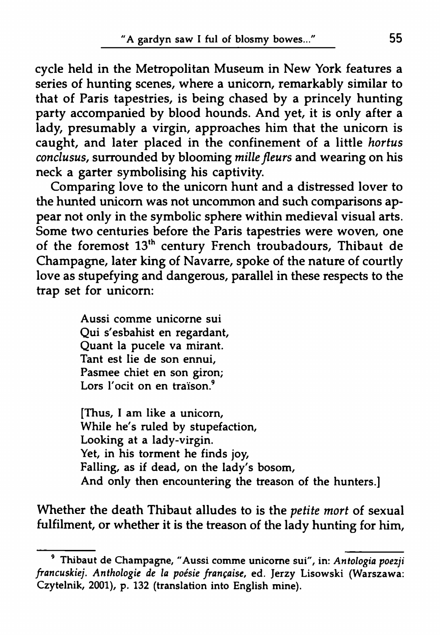cycle held in the Metropolitan Museum in New York features a series of hunting scenes, where a unicorn, remarkably similar to that of Paris tapestries, is being chased by a princely hunting party accompanied by blood hounds. And yet, it is only after a lady, presumably a virgin, approaches him that the unicorn is caught, and later placed in the confinement of a little *hortus conclusus,* surrounded by blooming *millefleurs* and wearing on his neck a garter symbolising his captivity.

Comparing love to the unicorn hunt and a distressed lover to the hunted unicorn was not uncommon and such comparisons appear not only in the symbolic sphere within medieval visual arts. Some two centuries before the Paris tapestries were woven, one of the foremost 13th century French troubadours, Thibaut de Champagne, later king of Navarre, spoke of the nature of courtly love as stupefying and dangerous, parallel in these respects to the trap set for unicorn:

> Aussi comme unicorne sui Qui s'esbahist en regardant, Quant la pucele va mirant. Tant est lie de son ennui, Pasmee chief en son giron; Lors l'ocit on en traïson.<sup>9</sup>

[Thus, I am like a unicorn, While he's ruled by stupefaction, Looking at a lady-virgin. Yet, in his torment he finds joy, Falling, as if dead, on the lady's bosom, And only then encountering the treason of the hunters.]

Whether the death Thibaut alludes to is the *petite mort* of sexual fulfilment, or whether it is the treason of the lady hunting for him,

<sup>&#</sup>x27; Thibaut de Champagne, "Aussi comme unicome sui", in: *Antologia poezji francuskiej. Anthologie de la poésie française,* ed. Jerzy Lisowski (Warszawa: Czytelnik, 2001), p. 132 (translation into English mine).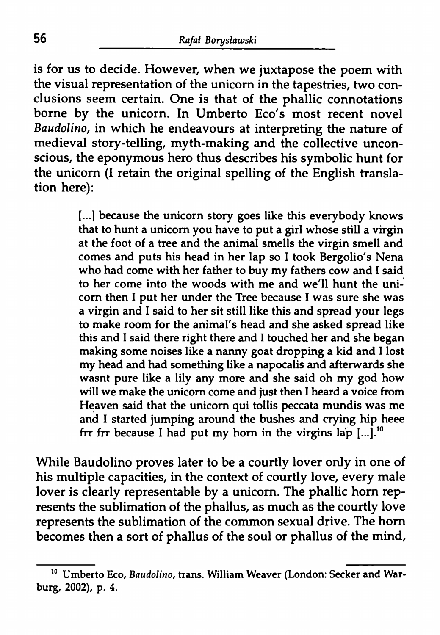is for us to decide. However, when we juxtapose the poem with the visual representation of the unicorn in the tapestries, two conclusions seem certain. One is that of the phallic connotations borne by the unicorn. In Umberto Eco's most recent novel *Baudolino,* in which he endeavours at interpreting the nature of medieval story-telling, myth-making and the collective unconscious, the eponymous hero thus describes his symbolic hunt for the unicorn (I retain the original spelling of the English translation here):

> [...] because the unicorn story goes like this everybody knows that to hunt a unicorn you have to put a girl whose still a virgin at the foot of a tree and the animal smells the virgin smell and comes and puts his head in her lap so I took Bergolio's Nena who had come with her father to buy my fathers cow and I said to her come into the woods with me and we'll hunt the unicorn then I put her under the Tree because I was sure she was a virgin and I said to her sit still like this and spread your legs to make room for the animal's head and she asked spread like this and I said there right there and I touched her and she began making some noises like a nanny goat dropping a kid and I lost my head and had something like a napocalis and afterwards she wasnt pure like a lily any more and she said oh my god how will we make the unicorn come and just then <sup>1</sup> heard a voice from Heaven said that the unicorn qui tollis peccata mundis was me and I started jumping around the bushes and crying hip heee frr frr because I had put my horn in the virgins lap  $[...]$ .<sup>10</sup>

While Baudolino proves later to be a courtly lover only in one of his multiple capacities, in the context of courtly love, every male lover is clearly representable by a unicorn. The phallic horn represents the sublimation of the phallus, as much as the courtly love represents the sublimation of the common sexual drive. The horn becomes then a sort of phallus of the soul or phallus of the mind,

<sup>10</sup> Umberto Eco, *Baudolino,* trans. William Weaver (London: Seeker and Warburg, 2002), p. 4.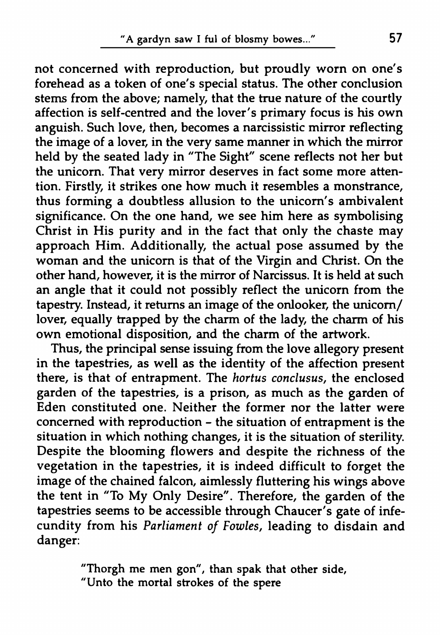not concerned with reproduction, but proudly worn on one's forehead as a token of one's special status. The other conclusion stems from the above; namely, that the true nature of the courtly affection is self-centred and the lover's primary focus is his own anguish. Such love, then, becomes a narcissistic mirror reflecting the image of a lover, in the very same manner in which the mirror held by the seated lady in "The Sight" scene reflects not her but the unicorn. That very mirror deserves in fact some more attention. Firstly, it strikes one how much it resembles a monstrance, thus forming a doubtless allusion to the unicorn's ambivalent significance. On the one hand, we see him here as symbolising Christ in His purity and in the fact that only the chaste may approach Him. Additionally, the actual pose assumed by the woman and the unicorn is that of the Virgin and Christ. On the other hand, however, it is the mirror of Narcissus. It is held at such an angle that it could not possibly reflect the unicorn from the tapestry. Instead, it returns an image of the onlooker, the unicorn/ lover, equally trapped by the charm of the lady, the charm of his own emotional disposition, and the charm of the artwork.

Thus, the principal sense issuing from the love allegory present in the tapestries, as well as the identity of the affection present there, is that of entrapment. The *hortus conclusus,* the enclosed garden of the tapestries, is a prison, as much as the garden of Eden constituted one. Neither the former nor the latter were concerned with reproduction - the situation of entrapment is the situation in which nothing changes, it is the situation of sterility. Despite the blooming flowers and despite the richness of the vegetation in the tapestries, it is indeed difficult to forget the image of the chained falcon, aimlessly fluttering his wings above the tent in "To My Only Desire". Therefore, the garden of the tapestries seems to be accessible through Chaucer's gate of infecundity from his *Parliament of Fowles,* leading to disdain and danger:

> "Thorgh me men gon", than spak that other side, "Unto the mortal strokes of the spere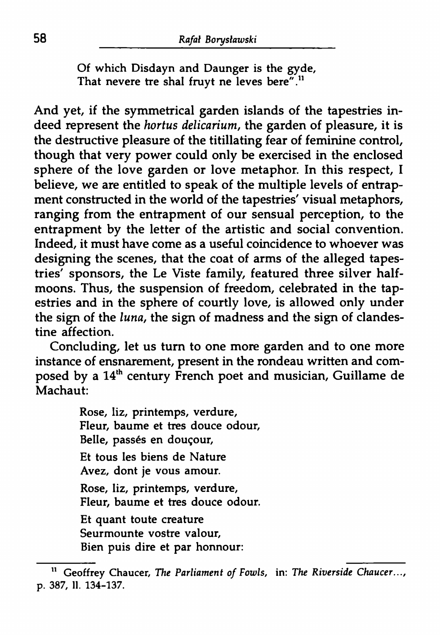Of which Disdayn and Daunger is the gyde, That nevere tre shal fruyt ne leves bere".<sup>11</sup>

And yet, if the symmetrical garden islands of the tapestries indeed represent the *hortus delicarium,* the garden of pleasure, it is the destructive pleasure of the titillating fear of feminine control, though that very power could only be exercised in the enclosed sphere of the love garden or love metaphor. In this respect, I believe, we are entitled to speak of the multiple levels of entrapment constructed in the world of the tapestries' visual metaphors, ranging from the entrapment of our sensual perception, to the entrapment by the letter of the artistic and social convention. Indeed, it must have come as a useful coincidence to whoever was designing the scenes, that the coat of arms of the alleged tapestries' sponsors, the Le Viste family, featured three silver halfmoons. Thus, the suspension of freedom, celebrated in the tapestries and in the sphere of courtly love, is allowed only under the sign of the *luna,* the sign of madness and the sign of clandestine affection.

Concluding, let us turn to one more garden and to one more instance of ensnarement, present in the rondeau written and composed by a 14<sup>th</sup> century French poet and musician, Guillame de Machaut:

> Rose, liz, printemps, verdure, Fleur, baume et très douce odour, Belle, passés en douçour, Et tous les biens de Nature Avez, dont je vous amour. Rose, liz, printemps, verdure, Fleur, baume et tres douce odour. Et quant toute creature Seurmounte vostre valour, Bien puis dire et par honnour:

<sup>11</sup> Geoffrey Chaucer, *The Parliament of Fowls,* in: *The Riverside Chaucer...,* p. 387, 11. 134-137.